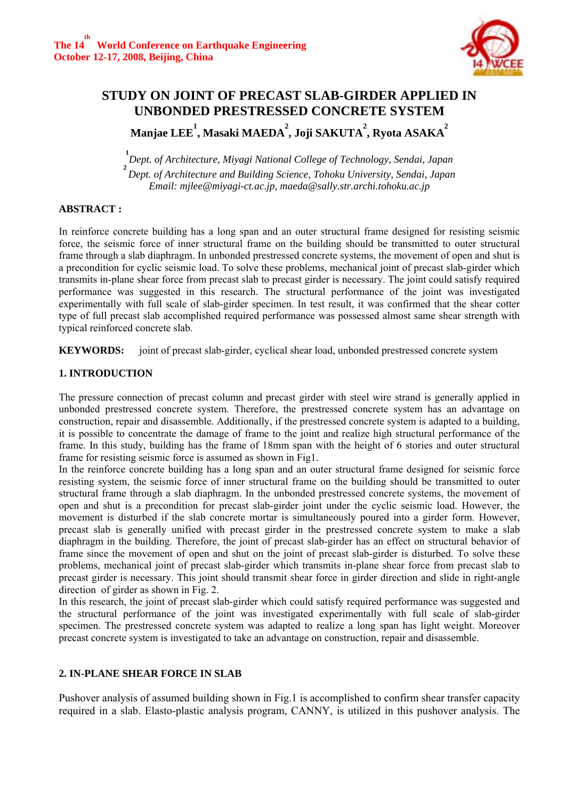

# **STUDY ON JOINT OF PRECAST SLAB-GIRDER APPLIED IN UNBONDED PRESTRESSED CONCRETE SYSTEM Manjae LEE 1 , Masaki MAEDA 2 , Joji SAKUTA 2 , Ryota ASAKA 2**

**1** *Dept. of Architecture, Miyagi National College of Technology, Sendai, Japan*  **2**  *Dept. of Architecture and Building Science, Tohoku University, Sendai, Japan Email: mjlee@miyagi-ct.ac.jp, maeda@sally.str.archi.tohoku.ac.jp* 

# **ABSTRACT :**

In reinforce concrete building has a long span and an outer structural frame designed for resisting seismic force, the seismic force of inner structural frame on the building should be transmitted to outer structural frame through a slab diaphragm. In unbonded prestressed concrete systems, the movement of open and shut is a precondition for cyclic seismic load. To solve these problems, mechanical joint of precast slab-girder which transmits in-plane shear force from precast slab to precast girder is necessary. The joint could satisfy required performance was suggested in this research. The structural performance of the joint was investigated experimentally with full scale of slab-girder specimen. In test result, it was confirmed that the shear cotter type of full precast slab accomplished required performance was possessed almost same shear strength with typical reinforced concrete slab.

**KEYWORDS:** joint of precast slab-girder, cyclical shear load, unbonded prestressed concrete system

# **1. INTRODUCTION**

The pressure connection of precast column and precast girder with steel wire strand is generally applied in unbonded prestressed concrete system. Therefore, the prestressed concrete system has an advantage on construction, repair and disassemble. Additionally, if the prestressed concrete system is adapted to a building, it is possible to concentrate the damage of frame to the joint and realize high structural performance of the frame. In this study, building has the frame of 18mm span with the height of 6 stories and outer structural frame for resisting seismic force is assumed as shown in Fig1.

In the reinforce concrete building has a long span and an outer structural frame designed for seismic force resisting system, the seismic force of inner structural frame on the building should be transmitted to outer structural frame through a slab diaphragm. In the unbonded prestressed concrete systems, the movement of open and shut is a precondition for precast slab-girder joint under the cyclic seismic load. However, the movement is disturbed if the slab concrete mortar is simultaneously poured into a girder form. However, precast slab is generally unified with precast girder in the prestressed concrete system to make a slab diaphragm in the building. Therefore, the joint of precast slab-girder has an effect on structural behavior of frame since the movement of open and shut on the joint of precast slab-girder is disturbed. To solve these problems, mechanical joint of precast slab-girder which transmits in-plane shear force from precast slab to precast girder is necessary. This joint should transmit shear force in girder direction and slide in right-angle direction of girder as shown in Fig. 2.

In this research, the joint of precast slab-girder which could satisfy required performance was suggested and the structural performance of the joint was investigated experimentally with full scale of slab-girder specimen. The prestressed concrete system was adapted to realize a long span has light weight. Moreover precast concrete system is investigated to take an advantage on construction, repair and disassemble.

# **2. IN-PLANE SHEAR FORCE IN SLAB**

Pushover analysis of assumed building shown in Fig.1 is accomplished to confirm shear transfer capacity required in a slab. Elasto-plastic analysis program, CANNY, is utilized in this pushover analysis. The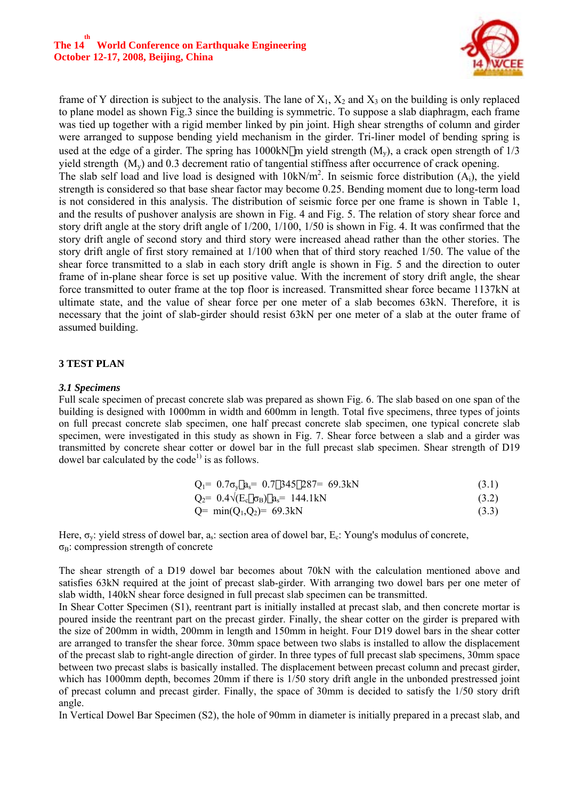

frame of Y direction is subject to the analysis. The lane of  $X_1$ ,  $X_2$  and  $X_3$  on the building is only replaced to plane model as shown Fig.3 since the building is symmetric. To suppose a slab diaphragm, each frame was tied up together with a rigid member linked by pin joint. High shear strengths of column and girder were arranged to suppose bending yield mechanism in the girder. Tri-liner model of bending spring is used at the edge of a girder. The spring has 1000kN m yield strength  $(M_v)$ , a crack open strength of  $1/3$ yield strength (My) and 0.3 decrement ratio of tangential stiffness after occurrence of crack opening. The slab self load and live load is designed with  $10kN/m^2$ . In seismic force distribution  $(A<sub>i</sub>)$ , the yield strength is considered so that base shear factor may become 0.25. Bending moment due to long-term load is not considered in this analysis. The distribution of seismic force per one frame is shown in Table 1, and the results of pushover analysis are shown in Fig. 4 and Fig. 5. The relation of story shear force and story drift angle at the story drift angle of 1/200, 1/100, 1/50 is shown in Fig. 4. It was confirmed that the story drift angle of second story and third story were increased ahead rather than the other stories. The story drift angle of first story remained at 1/100 when that of third story reached 1/50. The value of the shear force transmitted to a slab in each story drift angle is shown in Fig. 5 and the direction to outer frame of in-plane shear force is set up positive value. With the increment of story drift angle, the shear force transmitted to outer frame at the top floor is increased. Transmitted shear force became 1137kN at ultimate state, and the value of shear force per one meter of a slab becomes 63kN. Therefore, it is necessary that the joint of slab-girder should resist 63kN per one meter of a slab at the outer frame of assumed building.

#### **3 TEST PLAN**

#### *3.1 Specimens*

Full scale specimen of precast concrete slab was prepared as shown Fig. 6. The slab based on one span of the building is designed with 1000mm in width and 600mm in length. Total five specimens, three types of joints on full precast concrete slab specimen, one half precast concrete slab specimen, one typical concrete slab specimen, were investigated in this study as shown in Fig. 7. Shear force between a slab and a girder was transmitted by concrete shear cotter or dowel bar in the full precast slab specimen. Shear strength of D19 dowel bar calculated by the code<sup>1)</sup> is as follows.

|  | $Q_1 = 0.7\sigma_v$ a <sub>s</sub> = 0.7 345 287 = 69.3kN | (3.1) |
|--|-----------------------------------------------------------|-------|
|--|-----------------------------------------------------------|-------|

$$
Q_2 = 0.4\sqrt{E_c} \, \sigma_B \, a_s = 144.1 \, \text{kN} \tag{3.2}
$$

$$
Q = min(Q_1, Q_2) = 69.3kN
$$
\n(3.3)

Here,  $\sigma_{v}$ : yield stress of dowel bar,  $a_{s}$ : section area of dowel bar,  $E_{c}$ : Young's modulus of concrete,  $σ<sub>B</sub>$ : compression strength of concrete

The shear strength of a D19 dowel bar becomes about 70kN with the calculation mentioned above and satisfies 63kN required at the joint of precast slab-girder. With arranging two dowel bars per one meter of slab width, 140kN shear force designed in full precast slab specimen can be transmitted.

In Shear Cotter Specimen (S1), reentrant part is initially installed at precast slab, and then concrete mortar is poured inside the reentrant part on the precast girder. Finally, the shear cotter on the girder is prepared with the size of 200mm in width, 200mm in length and 150mm in height. Four D19 dowel bars in the shear cotter are arranged to transfer the shear force. 30mm space between two slabs is installed to allow the displacement of the precast slab to right-angle direction of girder. In three types of full precast slab specimens, 30mm space between two precast slabs is basically installed. The displacement between precast column and precast girder, which has 1000mm depth, becomes 20mm if there is  $1/50$  story drift angle in the unbonded prestressed joint of precast column and precast girder. Finally, the space of 30mm is decided to satisfy the 1/50 story drift angle.

In Vertical Dowel Bar Specimen (S2), the hole of 90mm in diameter is initially prepared in a precast slab, and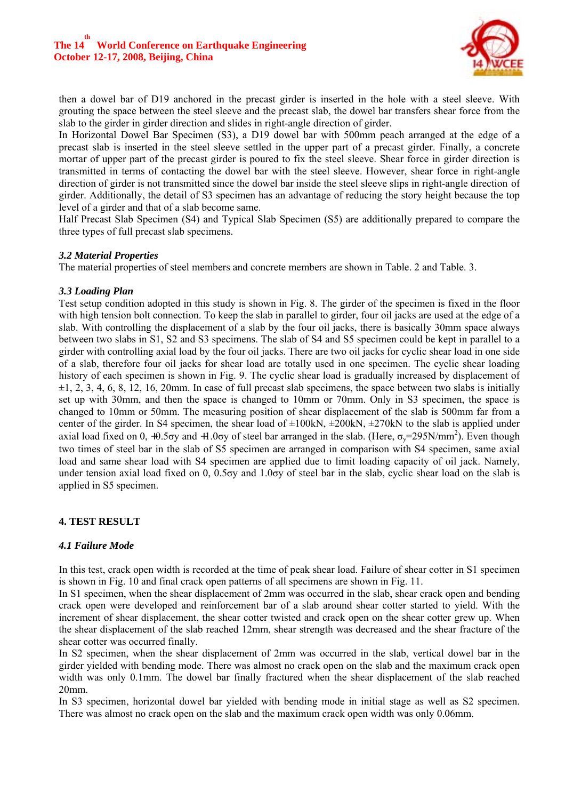

then a dowel bar of D19 anchored in the precast girder is inserted in the hole with a steel sleeve. With grouting the space between the steel sleeve and the precast slab, the dowel bar transfers shear force from the slab to the girder in girder direction and slides in right-angle direction of girder.

In Horizontal Dowel Bar Specimen (S3), a D19 dowel bar with 500mm peach arranged at the edge of a precast slab is inserted in the steel sleeve settled in the upper part of a precast girder. Finally, a concrete mortar of upper part of the precast girder is poured to fix the steel sleeve. Shear force in girder direction is transmitted in terms of contacting the dowel bar with the steel sleeve. However, shear force in right-angle direction of girder is not transmitted since the dowel bar inside the steel sleeve slips in right-angle direction of girder. Additionally, the detail of S3 specimen has an advantage of reducing the story height because the top level of a girder and that of a slab become same.

Half Precast Slab Specimen (S4) and Typical Slab Specimen (S5) are additionally prepared to compare the three types of full precast slab specimens.

#### *3.2 Material Properties*

The material properties of steel members and concrete members are shown in Table. 2 and Table. 3.

#### *3.3 Loading Plan*

Test setup condition adopted in this study is shown in Fig. 8. The girder of the specimen is fixed in the floor with high tension bolt connection. To keep the slab in parallel to girder, four oil jacks are used at the edge of a slab. With controlling the displacement of a slab by the four oil jacks, there is basically 30mm space always between two slabs in S1, S2 and S3 specimens. The slab of S4 and S5 specimen could be kept in parallel to a girder with controlling axial load by the four oil jacks. There are two oil jacks for cyclic shear load in one side of a slab, therefore four oil jacks for shear load are totally used in one specimen. The cyclic shear loading history of each specimen is shown in Fig. 9. The cyclic shear load is gradually increased by displacement of  $\pm 1$ , 2, 3, 4, 6, 8, 12, 16, 20mm. In case of full precast slab specimens, the space between two slabs is initially set up with 30mm, and then the space is changed to 10mm or 70mm. Only in S3 specimen, the space is changed to 10mm or 50mm. The measuring position of shear displacement of the slab is 500mm far from a center of the girder. In S4 specimen, the shear load of  $\pm 100kN$ ,  $\pm 200kN$ ,  $\pm 270kN$  to the slab is applied under axial load fixed on 0, +0.5 $\sigma$ y and +1.0 $\sigma$ y of steel bar arranged in the slab. (Here,  $\sigma_y$ =295N/mm<sup>2</sup>). Even though two times of steel bar in the slab of S5 specimen are arranged in comparison with S4 specimen, same axial load and same shear load with S4 specimen are applied due to limit loading capacity of oil jack. Namely, under tension axial load fixed on 0, 0.5σy and 1.0σy of steel bar in the slab, cyclic shear load on the slab is applied in S5 specimen.

# **4. TEST RESULT**

#### *4.1 Failure Mode*

In this test, crack open width is recorded at the time of peak shear load. Failure of shear cotter in S1 specimen is shown in Fig. 10 and final crack open patterns of all specimens are shown in Fig. 11.

In S1 specimen, when the shear displacement of 2mm was occurred in the slab, shear crack open and bending crack open were developed and reinforcement bar of a slab around shear cotter started to yield. With the increment of shear displacement, the shear cotter twisted and crack open on the shear cotter grew up. When the shear displacement of the slab reached 12mm, shear strength was decreased and the shear fracture of the shear cotter was occurred finally.

In S2 specimen, when the shear displacement of 2mm was occurred in the slab, vertical dowel bar in the girder yielded with bending mode. There was almost no crack open on the slab and the maximum crack open width was only 0.1mm. The dowel bar finally fractured when the shear displacement of the slab reached 20mm.

In S3 specimen, horizontal dowel bar yielded with bending mode in initial stage as well as S2 specimen. There was almost no crack open on the slab and the maximum crack open width was only 0.06mm.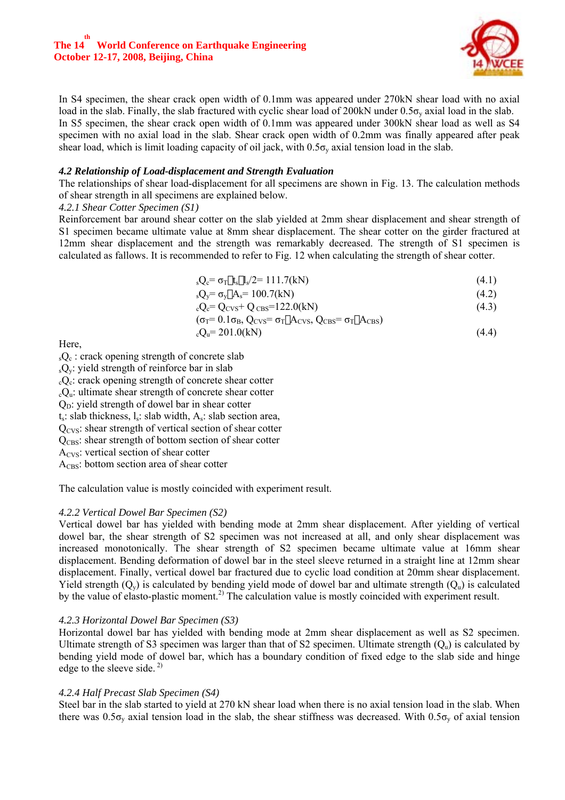

In S4 specimen, the shear crack open width of 0.1mm was appeared under 270kN shear load with no axial load in the slab. Finally, the slab fractured with cyclic shear load of 200kN under  $0.5\sigma_v$  axial load in the slab. In S5 specimen, the shear crack open width of 0.1mm was appeared under 300kN shear load as well as S4 specimen with no axial load in the slab. Shear crack open width of 0.2mm was finally appeared after peak shear load, which is limit loading capacity of oil jack, with  $0.5\sigma_v$  axial tension load in the slab.

#### *4.2 Relationship of Load-displacement and Strength Evaluation*

The relationships of shear load-displacement for all specimens are shown in Fig. 13. The calculation methods of shear strength in all specimens are explained below.

#### *4.2.1 Shear Cotter Specimen (S1)*

Reinforcement bar around shear cotter on the slab yielded at 2mm shear displacement and shear strength of S1 specimen became ultimate value at 8mm shear displacement. The shear cotter on the girder fractured at 12mm shear displacement and the strength was remarkably decreased. The strength of S1 specimen is calculated as fallows. It is recommended to refer to Fig. 12 when calculating the strength of shear cotter.

$$
{}_{s}Q_{c} = \sigma_{T} t_{s} l_{s}/2 = 111.7(kN)
$$
\n(4.1)

$$
{}_{s}Q_{y} = \sigma_{y} A_{s} = 100.7(kN)
$$
\n
$$
(4.2)
$$

$$
{}_{c}Q_{c} = Q_{\text{CVs}} + Q_{\text{CBS}} = 122.0 \text{(kN)} \tag{4.3}
$$

$$
(\sigma_{\rm T} = 0.1 \sigma_{\rm B}, \mathbf{Q}_{\rm CVS} = \sigma_{\rm T} \mathbf{A}_{\rm CVS}, \mathbf{Q}_{\rm CBS} = \sigma_{\rm T} \mathbf{A}_{\rm CBS})
$$
  
.
$$
{}_{\rm c} \mathbf{Q}_{\rm u} = 201.0 \, (\rm kN)
$$
 (4.4)

Here,

 $_{s}Q_{c}$ : crack opening strength of concrete slab  $_{s}Q_{v}$ : yield strength of reinforce bar in slab  $c_0$ . crack opening strength of concrete shear cotter  $_{c}Q_{u}$ : ultimate shear strength of concrete shear cotter  $Q<sub>D</sub>$ : yield strength of dowel bar in shear cotter  $t_s$ : slab thickness,  $l_s$ : slab width,  $A_s$ : slab section area,  $Q<sub>CVS</sub>$ : shear strength of vertical section of shear cotter  $Q<sub>CBS</sub>$ : shear strength of bottom section of shear cotter A<sub>CVS</sub>: vertical section of shear cotter  $A<sub>CBS</sub>$ : bottom section area of shear cotter

The calculation value is mostly coincided with experiment result.

# *4.2.2 Vertical Dowel Bar Specimen (S2)*

Vertical dowel bar has yielded with bending mode at 2mm shear displacement. After yielding of vertical dowel bar, the shear strength of S2 specimen was not increased at all, and only shear displacement was increased monotonically. The shear strength of S2 specimen became ultimate value at 16mm shear displacement. Bending deformation of dowel bar in the steel sleeve returned in a straight line at 12mm shear displacement. Finally, vertical dowel bar fractured due to cyclic load condition at 20mm shear displacement. Yield strength  $(Q_v)$  is calculated by bending yield mode of dowel bar and ultimate strength  $(Q_u)$  is calculated by the value of elasto-plastic moment.<sup>2)</sup> The calculation value is mostly coincided with experiment result.

# *4.2.3 Horizontal Dowel Bar Specimen (S3)*

Horizontal dowel bar has yielded with bending mode at 2mm shear displacement as well as S2 specimen. Ultimate strength of S3 specimen was larger than that of S2 specimen. Ultimate strength  $(Q<sub>u</sub>)$  is calculated by bending yield mode of dowel bar, which has a boundary condition of fixed edge to the slab side and hinge edge to the sleeve side.  $2^{2}$ 

# *4.2.4 Half Precast Slab Specimen (S4)*

Steel bar in the slab started to yield at 270 kN shear load when there is no axial tension load in the slab. When there was  $0.5\sigma_v$  axial tension load in the slab, the shear stiffness was decreased. With  $0.5\sigma_v$  of axial tension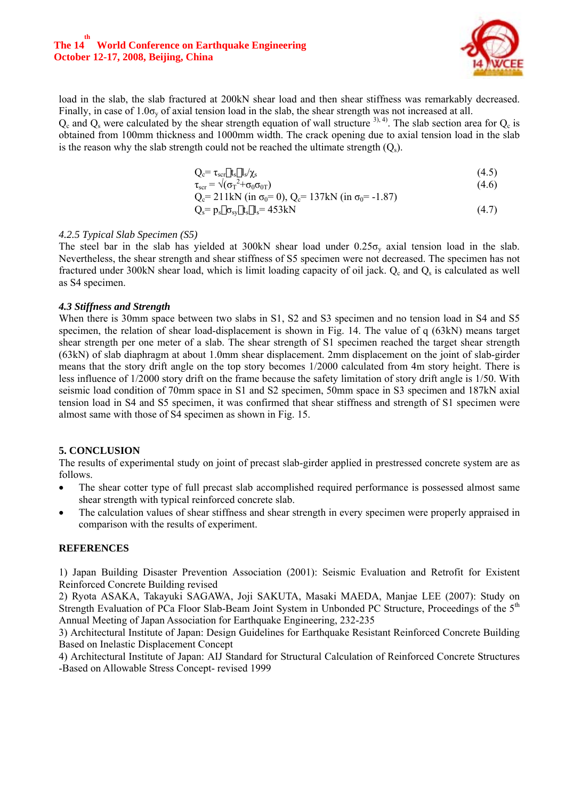

load in the slab, the slab fractured at 200kN shear load and then shear stiffness was remarkably decreased. Finally, in case of  $1.0\sigma_y$  of axial tension load in the slab, the shear strength was not increased at all.

 $Q_c$  and  $Q_s$  were calculated by the shear strength equation of wall structure <sup>3), 4)</sup>. The slab section area for  $Q_c$  is obtained from 100mm thickness and 1000mm width. The crack opening due to axial tension load in the slab is the reason why the slab strength could not be reached the ultimate strength  $(Q_s)$ .

$$
Q_c = \tau_{scr} t_s l_s / \chi_s \tag{4.5}
$$

$$
\tau_{\text{scr}} = \sqrt{(\sigma_{\text{T}}^2 + \sigma_0 \sigma_0 \tau)} \tag{4.6}
$$
\n
$$
C = 211 \text{Lb} \quad (\text{in } \tau = 0) \quad C = 127 \text{Lb} \quad (\text{in } \tau = 1.87)
$$

$$
Q_c = 211 \text{kN (in } \sigma_0 = 0), Q_c = 137 \text{kN (in } \sigma_0 = -1.87)
$$
  
\n
$$
Q_s = p_s \sigma_{sy} t_s l_s = 453 \text{kN}
$$
 (4.7)

#### *4.2.5 Typical Slab Specimen (S5)*

The steel bar in the slab has yielded at 300kN shear load under  $0.25\sigma_v$  axial tension load in the slab. Nevertheless, the shear strength and shear stiffness of S5 specimen were not decreased. The specimen has not fractured under 300kN shear load, which is limit loading capacity of oil jack.  $Q_c$  and  $Q_s$  is calculated as well as S4 specimen.

#### *4.3 Stiffness and Strength*

When there is 30mm space between two slabs in S1, S2 and S3 specimen and no tension load in S4 and S5 specimen, the relation of shear load-displacement is shown in Fig. 14. The value of q (63kN) means target shear strength per one meter of a slab. The shear strength of S1 specimen reached the target shear strength (63kN) of slab diaphragm at about 1.0mm shear displacement. 2mm displacement on the joint of slab-girder means that the story drift angle on the top story becomes 1/2000 calculated from 4m story height. There is less influence of 1/2000 story drift on the frame because the safety limitation of story drift angle is 1/50. With seismic load condition of 70mm space in S1 and S2 specimen, 50mm space in S3 specimen and 187kN axial tension load in S4 and S5 specimen, it was confirmed that shear stiffness and strength of S1 specimen were almost same with those of S4 specimen as shown in Fig. 15.

# **5. CONCLUSION**

The results of experimental study on joint of precast slab-girder applied in prestressed concrete system are as follows.

- The shear cotter type of full precast slab accomplished required performance is possessed almost same shear strength with typical reinforced concrete slab.
- The calculation values of shear stiffness and shear strength in every specimen were properly appraised in comparison with the results of experiment.

#### **REFERENCES**

1) Japan Building Disaster Prevention Association (2001): Seismic Evaluation and Retrofit for Existent Reinforced Concrete Building revised

2) Ryota ASAKA, Takayuki SAGAWA, Joji SAKUTA, Masaki MAEDA, Manjae LEE (2007): Study on Strength Evaluation of PCa Floor Slab-Beam Joint System in Unbonded PC Structure, Proceedings of the 5th Annual Meeting of Japan Association for Earthquake Engineering, 232-235

3) Architectural Institute of Japan: Design Guidelines for Earthquake Resistant Reinforced Concrete Building Based on Inelastic Displacement Concept

4) Architectural Institute of Japan: AIJ Standard for Structural Calculation of Reinforced Concrete Structures -Based on Allowable Stress Concept- revised 1999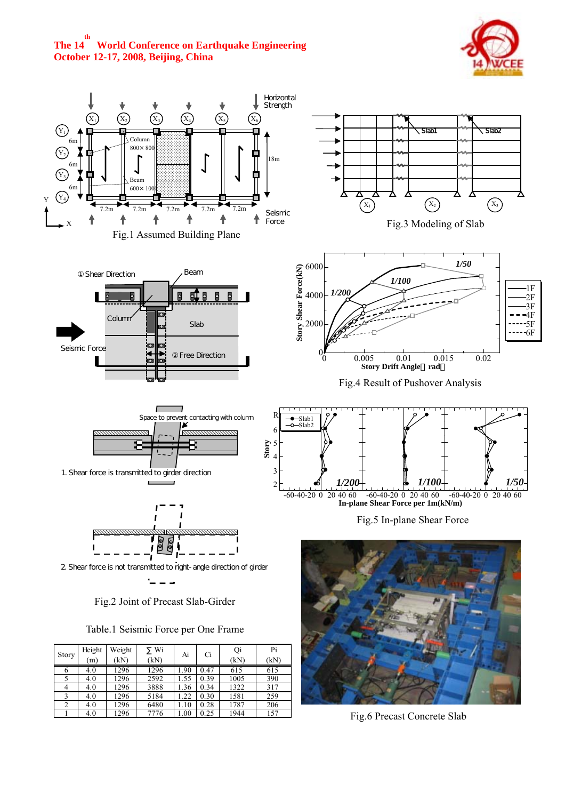# **The 14 th World Conference on Earthquake Engineering October 12-17, 2008, Beijing, China**





|  |  |         |  | racionelle communication che i ranno |
|--|--|---------|--|--------------------------------------|
|  |  |         |  |                                      |
|  |  |         |  |                                      |
|  |  | $- - -$ |  |                                      |

| Story | Height | Weight | Wi   | Ai   |      | Ci   | Qi   | Pi |
|-------|--------|--------|------|------|------|------|------|----|
|       | (m)    | (kN)   | (kN) |      |      | (kN) | (kN) |    |
| O     | 4.0    | 1296   | 1296 | 1.90 | 0.47 | 615  | 615  |    |
|       | 4.0    | 1296   | 2592 | 1.55 | 0.39 | 1005 | 390  |    |
| 4     | 4.0    | 1296   | 3888 | 1.36 | 0.34 | 1322 | 317  |    |
|       | 4.0    | 1296   | 5184 | .22  | 0.30 | 1581 | 259  |    |
| 2     | 4.0    | 1296   | 6480 | 1.10 | 0.28 | 1787 | 206  |    |
|       | 4.0    | 1296   | 7776 | .00  | 0.25 | 1944 | 157  |    |

Fig.6 Precast Concrete Slab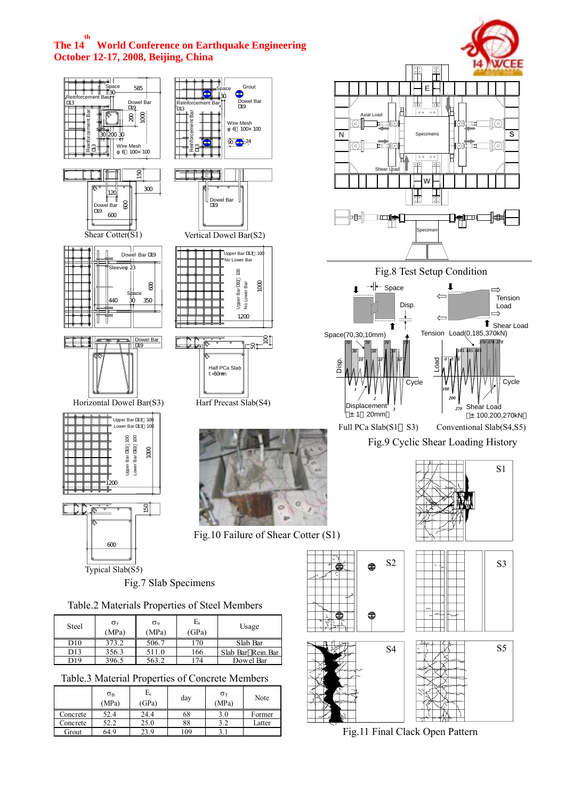# **The 14 th World Conference on Earthquake Engineering October 12-17, 2008, Beijing, China**

Grout 64.9 23.9 109 3.1



Fig.11 Final Clack Open Pattern